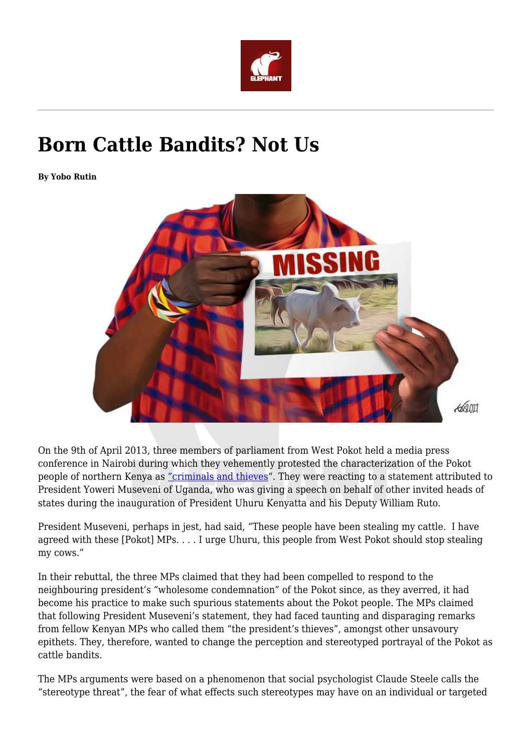

# **Born Cattle Bandits? Not Us**

**By Yobo Rutin**



On the 9th of April 2013, three members of parliament from West Pokot held a media press conference in Nairobi during which they vehemently protested the characterization of the Pokot people of northern Kenya as ["criminals and thieves](https://www.youtube.com/watch?v=9x4dff2dnk0)". They were reacting to a statement attributed to President Yoweri Museveni of Uganda, who was giving a speech on behalf of other invited heads of states during the inauguration of President Uhuru Kenyatta and his Deputy William Ruto.

President Museveni, perhaps in jest, had said, "These people have been stealing my cattle. I have agreed with these [Pokot] MPs. . . . I urge Uhuru, this people from West Pokot should stop stealing my cows."

In their rebuttal, the three MPs claimed that they had been compelled to respond to the neighbouring president's "wholesome condemnation" of the Pokot since, as they averred, it had become his practice to make such spurious statements about the Pokot people. The MPs claimed that following President Museveni's statement, they had faced taunting and disparaging remarks from fellow Kenyan MPs who called them "the president's thieves", amongst other unsavoury epithets. They, therefore, wanted to change the perception and stereotyped portrayal of the Pokot as cattle bandits.

The MPs arguments were based on a phenomenon that social psychologist Claude Steele calls the "stereotype threat", the fear of what effects such stereotypes may have on an individual or targeted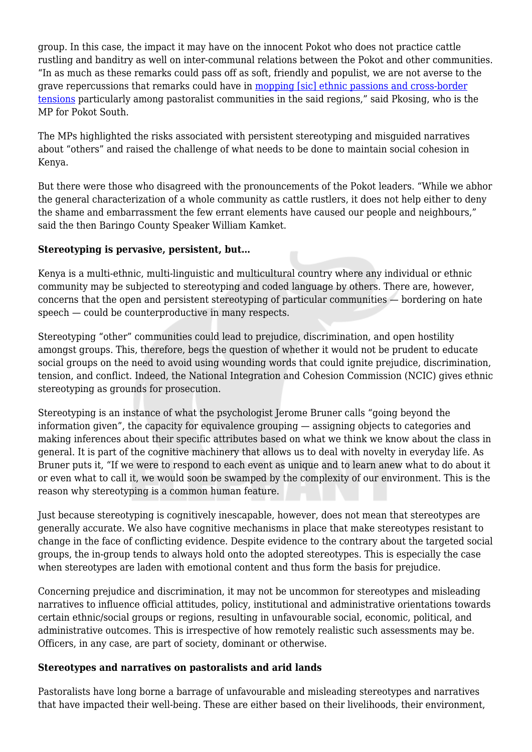group. In this case, the impact it may have on the innocent Pokot who does not practice cattle rustling and banditry as well on inter-communal relations between the Pokot and other communities. "In as much as these remarks could pass off as soft, friendly and populist, we are not averse to the grave repercussions that remarks could have in [mopping \[sic\] ethnic passions and cross-border](https://www.standardmedia.co.ke/counties/article/2000081243/leaders-angered-by-museveni-remarks-wants-apology) [tensions](https://www.standardmedia.co.ke/counties/article/2000081243/leaders-angered-by-museveni-remarks-wants-apology) particularly among pastoralist communities in the said regions," said Pkosing, who is the MP for Pokot South.

The MPs highlighted the risks associated with persistent stereotyping and misguided narratives about "others" and raised the challenge of what needs to be done to maintain social cohesion in Kenya.

But there were those who disagreed with the pronouncements of the Pokot leaders. "While we abhor the general characterization of a whole community as cattle rustlers, it does not help either to deny the shame and embarrassment the few errant elements have caused our people and neighbours," said the then Baringo County Speaker William Kamket.

## **Stereotyping is pervasive, persistent, but…**

Kenya is a multi-ethnic, multi-linguistic and multicultural country where any individual or ethnic community may be subjected to stereotyping and coded language by others. There are, however, concerns that the open and persistent stereotyping of particular communities — bordering on hate speech — could be counterproductive in many respects.

Stereotyping "other" communities could lead to prejudice, discrimination, and open hostility amongst groups. This, therefore, begs the question of whether it would not be prudent to educate social groups on the need to avoid using wounding words that could ignite prejudice, discrimination, tension, and conflict. Indeed, the National Integration and Cohesion Commission (NCIC) gives ethnic stereotyping as grounds for prosecution.

Stereotyping is an instance of what the psychologist Jerome Bruner calls "going beyond the information given", the capacity for equivalence grouping — assigning objects to categories and making inferences about their specific attributes based on what we think we know about the class in general. It is part of the cognitive machinery that allows us to deal with novelty in everyday life. As Bruner puts it, "If we were to respond to each event as unique and to learn anew what to do about it or even what to call it, we would soon be swamped by the complexity of our environment. This is the reason why stereotyping is a common human feature.

Just because stereotyping is cognitively inescapable, however, does not mean that stereotypes are generally accurate. We also have cognitive mechanisms in place that make stereotypes resistant to change in the face of conflicting evidence. Despite evidence to the contrary about the targeted social groups, the in-group tends to always hold onto the adopted stereotypes. This is especially the case when stereotypes are laden with emotional content and thus form the basis for prejudice.

Concerning prejudice and discrimination, it may not be uncommon for stereotypes and misleading narratives to influence official attitudes, policy, institutional and administrative orientations towards certain ethnic/social groups or regions, resulting in unfavourable social, economic, political, and administrative outcomes. This is irrespective of how remotely realistic such assessments may be. Officers, in any case, are part of society, dominant or otherwise.

#### **Stereotypes and narratives on pastoralists and arid lands**

Pastoralists have long borne a barrage of unfavourable and misleading stereotypes and narratives that have impacted their well-being. These are either based on their livelihoods, their environment,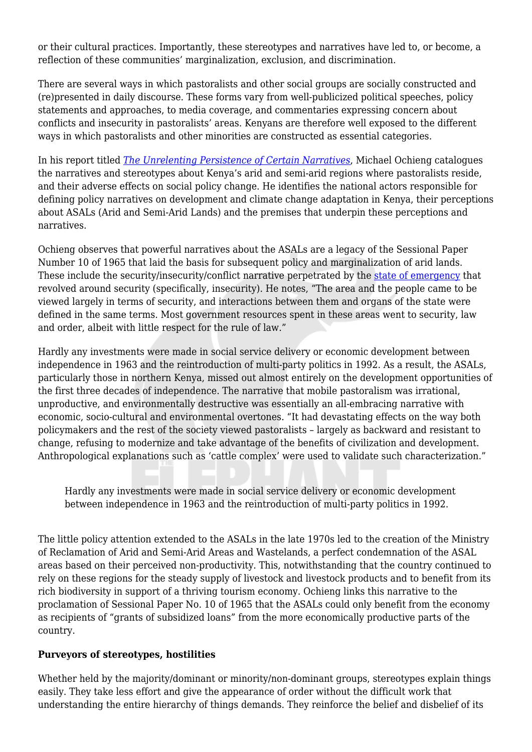or their cultural practices. Importantly, these stereotypes and narratives have led to, or become, a reflection of these communities' marginalization, exclusion, and discrimination.

There are several ways in which pastoralists and other social groups are socially constructed and (re)presented in daily discourse. These forms vary from well-publicized political speeches, policy statements and approaches, to media coverage, and commentaries expressing concern about conflicts and insecurity in pastoralists' areas. Kenyans are therefore well exposed to the different ways in which pastoralists and other minorities are constructed as essential categories.

In his report titled *[The Unrelenting Persistence of Certain Narratives](https://pubs.iied.org/sites/default/files/pdfs/migrate/10081IIED.pdf)*, Michael Ochieng catalogues the narratives and stereotypes about Kenya's arid and semi-arid regions where pastoralists reside, and their adverse effects on social policy change. He identifies the national actors responsible for defining policy narratives on development and climate change adaptation in Kenya, their perceptions about ASALs (Arid and Semi-Arid Lands) and the premises that underpin these perceptions and narratives.

Ochieng observes that powerful narratives about the ASALs are a legacy of the Sessional Paper Number 10 of 1965 that laid the basis for subsequent policy and marginalization of arid lands. These include the security/insecurity/conflict narrative perpetrated by the [state of emergency](http://web.stanford.edu/group/tomzgroup/pmwiki/uploads/1426-1964-04-KS-AMS.pdf) that revolved around security (specifically, insecurity). He notes, "The area and the people came to be viewed largely in terms of security, and interactions between them and organs of the state were defined in the same terms. Most government resources spent in these areas went to security, law and order, albeit with little respect for the rule of law."

Hardly any investments were made in social service delivery or economic development between independence in 1963 and the reintroduction of multi-party politics in 1992. As a result, the ASALs, particularly those in northern Kenya, missed out almost entirely on the development opportunities of the first three decades of independence. The narrative that mobile pastoralism was irrational, unproductive, and environmentally destructive was essentially an all-embracing narrative with economic, socio-cultural and environmental overtones. "It had devastating effects on the way both policymakers and the rest of the society viewed pastoralists – largely as backward and resistant to change, refusing to modernize and take advantage of the benefits of civilization and development. Anthropological explanations such as 'cattle complex' were used to validate such characterization."

Hardly any investments were made in social service delivery or economic development between independence in 1963 and the reintroduction of multi-party politics in 1992.

The little policy attention extended to the ASALs in the late 1970s led to the creation of the Ministry of Reclamation of Arid and Semi-Arid Areas and Wastelands, a perfect condemnation of the ASAL areas based on their perceived non-productivity. This, notwithstanding that the country continued to rely on these regions for the steady supply of livestock and livestock products and to benefit from its rich biodiversity in support of a thriving tourism economy. Ochieng links this narrative to the proclamation of Sessional Paper No. 10 of 1965 that the ASALs could only benefit from the economy as recipients of "grants of subsidized loans" from the more economically productive parts of the country.

#### **Purveyors of stereotypes, hostilities**

Whether held by the majority/dominant or minority/non-dominant groups, stereotypes explain things easily. They take less effort and give the appearance of order without the difficult work that understanding the entire hierarchy of things demands. They reinforce the belief and disbelief of its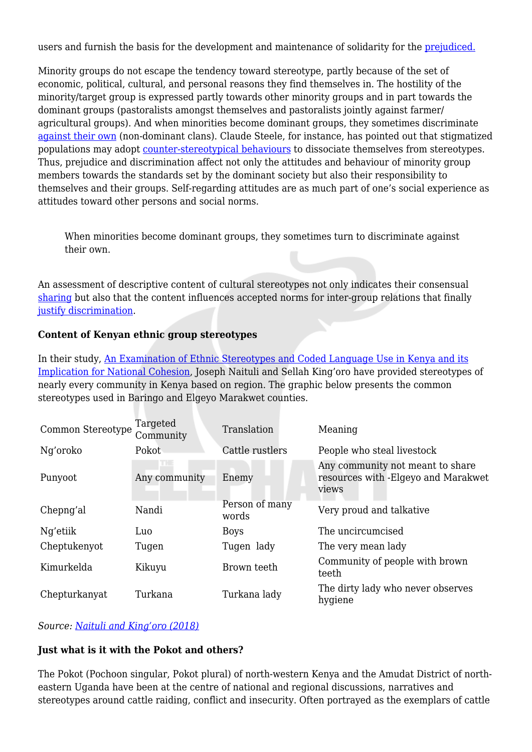users and furnish the basis for the development and maintenance of solidarity for the [prejudiced.](https://www.jstor.org/stable/30038977)

Minority groups do not escape the tendency toward stereotype, partly because of the set of economic, political, cultural, and personal reasons they find themselves in. The hostility of the minority/target group is expressed partly towards other minority groups and in part towards the dominant groups (pastoralists amongst themselves and pastoralists jointly against farmer/ agricultural groups). And when minorities become dominant groups, they sometimes discriminate [against their own](https://onlinelibrary.wiley.com/doi/abs/10.1901/jeab.1975.24-117) (non-dominant clans). Claude Steele, for instance, has pointed out that stigmatized populations may adopt [counter-stereotypical behaviours](https://www.acponline.org/acp_policy/policies/racial_ethnic_disparities_2010.pdf) to dissociate themselves from stereotypes. Thus, prejudice and discrimination affect not only the attitudes and behaviour of minority group members towards the standards set by the dominant society but also their responsibility to themselves and their groups. Self-regarding attitudes are as much part of one's social experience as attitudes toward other persons and social norms.

When minorities become dominant groups, they sometimes turn to discriminate against their own.

An assessment of descriptive content of cultural stereotypes not only indicates their consensual [sharing](https://psycnet.apa.org/record/1998-07091-021) but also that the content influences accepted norms for inter-group relations that finally [justify discrimination.](https://journals.sagepub.com/doi/abs/10.1177/0146167211411723)

### **Content of Kenyan ethnic group stereotypes**

In their study, [An Examination of Ethnic Stereotypes and Coded Language Use in Kenya and its](https://isdsnet.com/ijds-v7n11-06.pdf) [Implication for National Cohesion,](https://isdsnet.com/ijds-v7n11-06.pdf) Joseph Naituli and Sellah King'oro have provided stereotypes of nearly every community in Kenya based on region. The graphic below presents the common stereotypes used in Baringo and Elgeyo Marakwet counties.

| Common Stereotype | Targeted<br>Community | Translation             | Meaning                                                                          |
|-------------------|-----------------------|-------------------------|----------------------------------------------------------------------------------|
| Ng'oroko          | Pokot                 | Cattle rustlers         | People who steal livestock                                                       |
| Punyoot           | Any community         | Enemy                   | Any community not meant to share<br>resources with -Elgeyo and Marakwet<br>views |
| Chepng'al         | Nandi                 | Person of many<br>words | Very proud and talkative                                                         |
| Ng'etiik          | Luo                   | <b>Boys</b>             | The uncircumcised                                                                |
| Cheptukenyot      | Tugen                 | Tugen lady              | The very mean lady                                                               |
| Kimurkelda        | Kikuyu                | Brown teeth             | Community of people with brown<br>teeth                                          |
| Chepturkanyat     | Turkana               | Turkana lady            | The dirty lady who never observes<br>hygiene                                     |

*Source: [Naituli and King'oro \(2018\)](https://www.theelephant.info/about:blank)*

## **Just what is it with the Pokot and others?**

The Pokot (Pochoon singular, Pokot plural) of north-western Kenya and the Amudat District of northeastern Uganda have been at the centre of national and regional discussions, narratives and stereotypes around cattle raiding, conflict and insecurity. Often portrayed as the exemplars of cattle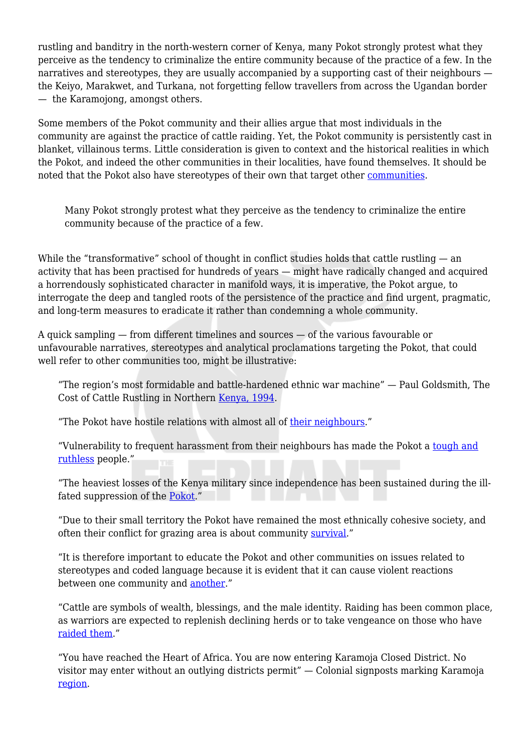rustling and banditry in the north-western corner of Kenya, many Pokot strongly protest what they perceive as the tendency to criminalize the entire community because of the practice of a few. In the narratives and stereotypes, they are usually accompanied by a supporting cast of their neighbours the Keiyo, Marakwet, and Turkana, not forgetting fellow travellers from across the Ugandan border — the Karamojong, amongst others.

Some members of the Pokot community and their allies argue that most individuals in the community are against the practice of cattle raiding. Yet, the Pokot community is persistently cast in blanket, villainous terms. Little consideration is given to context and the historical realities in which the Pokot, and indeed the other communities in their localities, have found themselves. It should be noted that the Pokot also have stereotypes of their own that target other [communities.](https://isdsnet.com/ijds-v7n11-06.pdf)

Many Pokot strongly protest what they perceive as the tendency to criminalize the entire community because of the practice of a few.

While the "transformative" school of thought in conflict studies holds that cattle rustling — an activity that has been practised for hundreds of years — might have radically changed and acquired a horrendously sophisticated character in manifold ways, it is imperative, the Pokot argue, to interrogate the deep and tangled roots of the persistence of the practice and find urgent, pragmatic, and long-term measures to eradicate it rather than condemning a whole community.

A quick sampling — from different timelines and sources — of the various favourable or unfavourable narratives, stereotypes and analytical proclamations targeting the Pokot, that could well refer to other communities too, might be illustrative:

"The region's most formidable and battle-hardened ethnic war machine" — Paul Goldsmith, The Cost of Cattle Rustling in Northern [Kenya, 1994](https://www.jstor.org/stable/43817187).

"The Pokot have hostile relations with almost all of [their neighbours](https://www.jstor.org/stable/43817187)."

"Vulnerability to frequent harassment from their neighbours has made the Pokot a [tough and](https://www.theelephant.info/about:blank) [ruthless](https://www.theelephant.info/about:blank) people."

"The heaviest losses of the Kenya military since independence has been sustained during the ill-fated suppression of the [Pokot](https://scholarsbank.uoregon.edu/xmlui/bitstream/handle/1794/20550/Muntet_oregon_0171N_11643.pdf;jsessionid=82EFF5323EBD751B22AF5F75BE46A670?sequence=1)."

"Due to their small territory the Pokot have remained the most ethnically cohesive society, and often their conflict for grazing area is about community [survival.](https://agris.fao.org/agris-search/search.do?recordID=GB2013202937)"

"It is therefore important to educate the Pokot and other communities on issues related to stereotypes and coded language because it is evident that it can cause violent reactions between one community and [another](https://isdsnet.com/ijds-v7n11-06.pdf)."

"Cattle are symbols of wealth, blessings, and the male identity. Raiding has been common place, as warriors are expected to replenish declining herds or to take vengeance on those who have [raided them](https://www.iwgia.org/en/resources/publications/305-books/2557-red-spotted-ox-a-pokot-life.html)."

"You have reached the Heart of Africa. You are now entering Karamoja Closed District. No visitor may enter without an outlying districts permit" — Colonial signposts marking Karamoja [region](https://www.scribd.com/document/4684113/The-Scramble-for-Cattle-Power-and-Guns-in-Karamoja).